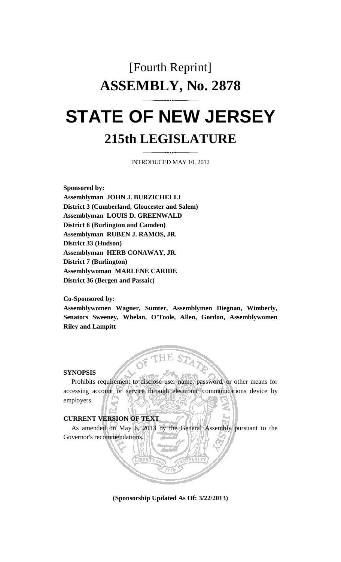# [Fourth Reprint] **ASSEMBLY, No. 2878 STATE OF NEW JERSEY 215th LEGISLATURE**

INTRODUCED MAY 10, 2012

**Sponsored by: Assemblyman JOHN J. BURZICHELLI District 3 (Cumberland, Gloucester and Salem) Assemblyman LOUIS D. GREENWALD District 6 (Burlington and Camden) Assemblyman RUBEN J. RAMOS, JR. District 33 (Hudson) Assemblyman HERB CONAWAY, JR. District 7 (Burlington) Assemblywoman MARLENE CARIDE District 36 (Bergen and Passaic)** 

**Co-Sponsored by:** 

**Assemblywomen Wagner, Sumter, Assemblymen Diegnan, Wimberly, Senators Sweeney, Whelan, O'Toole, Allen, Gordon, Assemblywomen Riley and Lampitt** 

#### **SYNOPSIS**

 Prohibits requirement to disclose user name, password, or other means for accessing account or service through electronic communications device by employers.

**IE STA?** 

## **CURRENT VERSION OF TEXT**

 As amended on May 6, 2013 by the General Assembly pursuant to the Governor's recommendations.

**(Sponsorship Updated As Of: 3/22/2013)**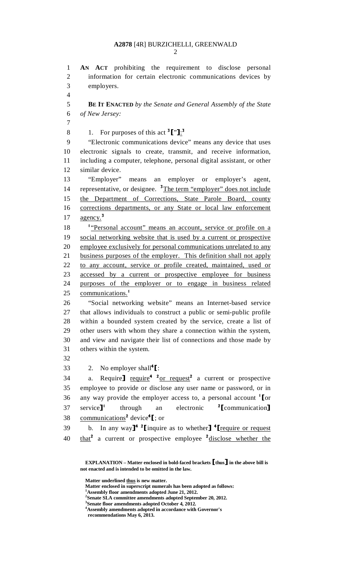# **A2878** [4R] BURZICHELLI, GREENWALD

2

1 **AN ACT** prohibiting the requirement to disclose personal 2 information for certain electronic communications devices by 3 employers. 4 5 **BE IT ENACTED** *by the Senate and General Assembly of the State*  6 *of New Jersey:* 7 8 1. For purposes of this act  $\frac{3}{1}$ . 9 "Electronic communications device" means any device that uses 10 electronic signals to create, transmit, and receive information, 11 including a computer, telephone, personal digital assistant, or other 12 similar device. 13 "Employer" means an employer or employer's agent, 14 representative, or designee. <sup>3</sup>The term "employer" does not include 15 the Department of Corrections, State Parole Board, county 16 corrections departments, or any State or local law enforcement 17  $a$ gency.<sup>3</sup> 18 <sup>1</sup> <u>Personal account</u>" means an account, service or profile on a 19 social networking website that is used by a current or prospective 20 employee exclusively for personal communications unrelated to any 21 business purposes of the employer. This definition shall not apply 22 to any account, service or profile created, maintained, used or 23 accessed by a current or prospective employee for business 24 purposes of the employer or to engage in business related 25 communications.<sup>1</sup> 26 "Social networking website" means an Internet-based service 27 that allows individuals to construct a public or semi-public profile 28 within a bounded system created by the service, create a list of 29 other users with whom they share a connection within the system, 30 and view and navigate their list of connections and those made by 31 others within the system. 32 33 2. No employer shall<sup>4</sup>[:<br>34 a. Require] require<sup>4</sup> <sup>2</sup> 34 a. Require  $\frac{1}{2}$  require<sup>4</sup>  $\frac{20r}{1}$  request<sup>2</sup> a current or prospective 35 employee to provide or disclose any user name or password, or in 36 any way provide the employer access to, a personal account  $\text{Tor}$ <br>37 service]<sup>1</sup> through an electronic <sup>2</sup>[communication] service<sup>1</sup> 37 service]<sup>1</sup> through an electronic <sup>2</sup>[communication]<br>38 communications<sup>2</sup> device<sup>4</sup>[: or 38 communications<sup>2</sup> device<sup>4</sup>[; or 39 b. In any way<sup> $1^4$ </sup> <sup>2</sup> [inquire as to whether  $1^4$  [require or request 40  $\frac{\text{that}^2}{\text{that}^2}$  a current or prospective employee  $\frac{2 \text{disclose} \cdot \text{whether the}}{2 \text{at least}}$ 

- **Matter enclosed in superscript numerals has been adopted as follows: 1**
- **Assembly floor amendments adopted June 21, 2012.**
- **2 Senate SLA committee amendments adopted September 20, 2012. 3 Senate floor amendments adopted October 4, 2012.**
- **4 Assembly amendments adopted in accordance with Governor's**

**EXPLANATION – Matter enclosed in bold-faced brackets** [**thus**] **in the above bill is not enacted and is intended to be omitted in the law.** 

**Matter underlined thus is new matter.** 

**recommendations May 6, 2013.**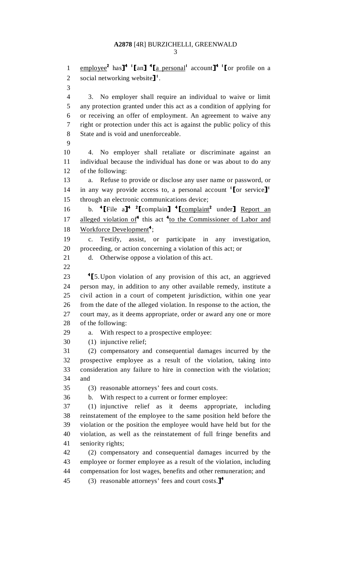3

1 employee<sup>2</sup> has<sup>14</sup> '[an] <sup>4</sup>[a personal<sup>1</sup> account]<sup>4</sup> '[or profile on a 2 social networking website $\mathbf{J}^1$ . 3 4 3. No employer shall require an individual to waive or limit 5 any protection granted under this act as a condition of applying for 6 or receiving an offer of employment. An agreement to waive any 7 right or protection under this act is against the public policy of this 8 State and is void and unenforceable. 9 10 4. No employer shall retaliate or discriminate against an 11 individual because the individual has done or was about to do any 12 of the following: 13 a. Refuse to provide or disclose any user name or password, or 14 in any way provide access to, a personal account  $\text{Tor}$  service]<sup>1</sup> 15 through an electronic communications device; 16 b.  $\text{``[File a]} \cdot \text{''[complain]} \cdot \text{``[complain]} \cdot \text{under]} \cdot \text{Report an}$ 17 alleged violation of<sup>4</sup> this act <sup>4</sup> to the Commissioner of Labor and 18 Workforce Development<sup>4</sup>; 19 c. Testify, assist, or participate in any investigation, 20 proceeding, or action concerning a violation of this act; or 21 d. Otherwise oppose a violation of this act. 22 <sup>4</sup> 23 <sup>4</sup> [5. Upon violation of any provision of this act, an aggrieved 24 person may, in addition to any other available remedy, institute a person may, in addition to any other available remedy, institute a 25 civil action in a court of competent jurisdiction, within one year 26 from the date of the alleged violation. In response to the action, the 27 court may, as it deems appropriate, order or award any one or more 28 of the following: 29 a. With respect to a prospective employee: 30 (1) injunctive relief; 31 (2) compensatory and consequential damages incurred by the 32 prospective employee as a result of the violation, taking into 33 consideration any failure to hire in connection with the violation; 34 and 35 (3) reasonable attorneys' fees and court costs. 36 b. With respect to a current or former employee: 37 (1) injunctive relief as it deems appropriate, including 38 reinstatement of the employee to the same position held before the 39 violation or the position the employee would have held but for the 40 violation, as well as the reinstatement of full fringe benefits and 41 seniority rights; 42 (2) compensatory and consequential damages incurred by the 43 employee or former employee as a result of the violation, including 44 compensation for lost wages, benefits and other remuneration; and 45 (3) reasonable attorneys' fees and court costs. $]^{4}$